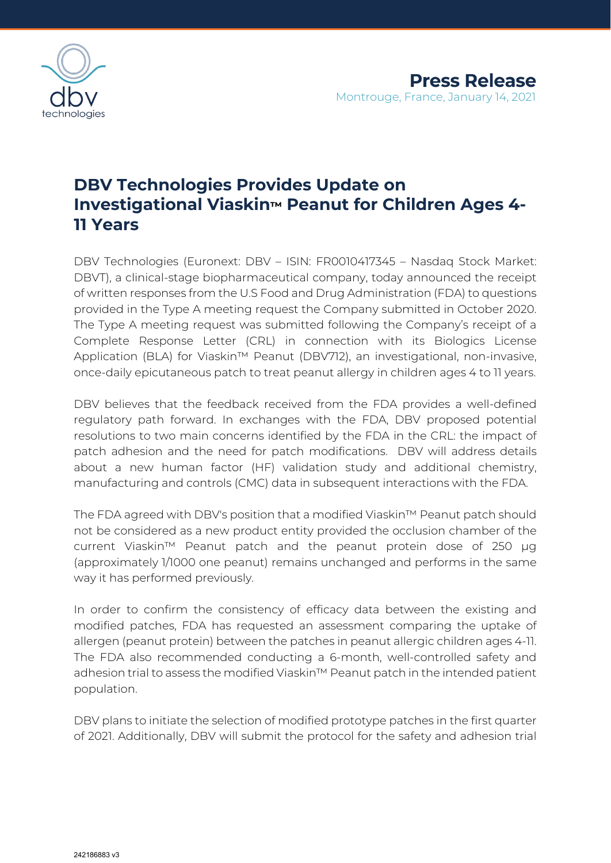

## **DBV Technologies Provides Update on Investigational Viaskin™ Peanut for Children Ages 4- 11 Years**

DBV Technologies (Euronext: DBV – ISIN: FR0010417345 – Nasdaq Stock Market: DBVT), a clinical-stage biopharmaceutical company, today announced the receipt of written responses from the U.S Food and Drug Administration (FDA) to questions provided in the Type A meeting request the Company submitted in October 2020. The Type A meeting request was submitted following the Company's receipt of a Complete Response Letter (CRL) in connection with its Biologics License Application (BLA) for Viaskin™ Peanut (DBV712), an investigational, non-invasive, once-daily epicutaneous patch to treat peanut allergy in children ages 4 to 11 years.

DBV believes that the feedback received from the FDA provides a well-defined regulatory path forward. In exchanges with the FDA, DBV proposed potential resolutions to two main concerns identified by the FDA in the CRL: the impact of patch adhesion and the need for patch modifications. DBV will address details about a new human factor (HF) validation study and additional chemistry, manufacturing and controls (CMC) data in subsequent interactions with the FDA.

The FDA agreed with DBV's position that a modified Viaskin™ Peanut patch should not be considered as a new product entity provided the occlusion chamber of the current Viaskin™ Peanut patch and the peanut protein dose of 250 µg (approximately 1/1000 one peanut) remains unchanged and performs in the same way it has performed previously.

In order to confirm the consistency of efficacy data between the existing and modified patches, FDA has requested an assessment comparing the uptake of allergen (peanut protein) between the patches in peanut allergic children ages 4-11. The FDA also recommended conducting a 6-month, well-controlled safety and adhesion trial to assess the modified Viaskin™ Peanut patch in the intended patient population.

DBV plans to initiate the selection of modified prototype patches in the first quarter of 2021. Additionally, DBV will submit the protocol for the safety and adhesion trial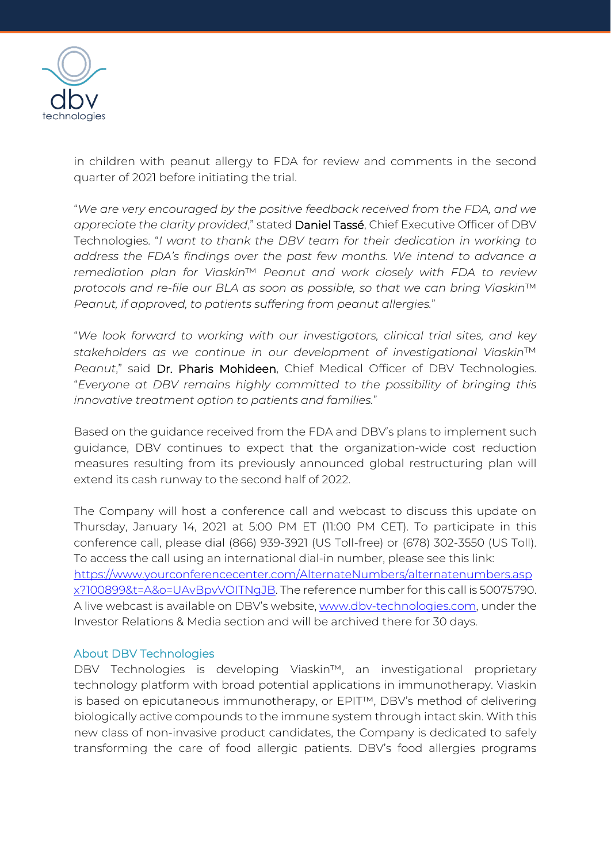

in children with peanut allergy to FDA for review and comments in the second quarter of 2021 before initiating the trial.

"*We are very encouraged by the positive feedback received from the FDA, and we appreciate the clarity provided*," stated Daniel Tassé, Chief Executive Officer of DBV Technologies. "*I want to thank the DBV team for their dedication in working to address the FDA's findings over the past few months. We intend to advance a remediation plan for Viaskin*™ *Peanut and work closely with FDA to review protocols and re-file our BLA as soon as possible, so that we can bring Viaskin*™ *Peanut, if approved, to patients suffering from peanut allergies.*"

"*We look forward to working with our investigators, clinical trial sites, and key stakeholders as we continue in our development of investigational Viaskin*™ *Peanut*," said Dr. Pharis Mohideen, Chief Medical Officer of DBV Technologies. "*Everyone at DBV remains highly committed to the possibility of bringing this innovative treatment option to patients and families.*"

Based on the guidance received from the FDA and DBV's plans to implement such guidance, DBV continues to expect that the organization-wide cost reduction measures resulting from its previously announced global restructuring plan will extend its cash runway to the second half of 2022.

The Company will host a conference call and webcast to discuss this update on Thursday, January 14, 2021 at 5:00 PM ET (11:00 PM CET). To participate in this conference call, please dial (866) 939-3921 (US Toll-free) or (678) 302-3550 (US Toll). To access the call using an international dial-in number, please see this link: [https://www.yourconferencecenter.com/AlternateNumbers/alternatenumbers.asp](https://www.yourconferencecenter.com/AlternateNumbers/alternatenumbers.aspx?100899&t=A&o=UAvBpvVOITNgJB) [x?100899&t=A&o=UAvBpvVOITNgJB.](https://www.yourconferencecenter.com/AlternateNumbers/alternatenumbers.aspx?100899&t=A&o=UAvBpvVOITNgJB) The reference number for this call is 50075790. A live webcast is available on DBV's website, [www.dbv-technologies.com,](https://eur03.safelinks.protection.outlook.com/?url=http%3A%2F%2Fwww.dbv-technologies.com%2F&data=04%7C01%7Cangela.marcucci%40dbv-technologies.com%7C515359fa51ff48a4913908d8b8b20cdd%7C3c89f02ae35e4e6cb1279a27fd59f5ea%7C0%7C0%7C637462422150070023%7CUnknown%7CTWFpbGZsb3d8eyJWIjoiMC4wLjAwMDAiLCJQIjoiV2luMzIiLCJBTiI6Ik1haWwiLCJXVCI6Mn0%3D%7C1000&sdata=smwpapBbKrIxOsx4oJ0opJ6NJC%2BDR2MzT9LhJkPcAHg%3D&reserved=0) under the Investor Relations & Media section and will be archived there for 30 days.

## About DBV Technologies

DBV Technologies is developing Viaskin™, an investigational proprietary technology platform with broad potential applications in immunotherapy. Viaskin is based on epicutaneous immunotherapy, or EPIT™, DBV's method of delivering biologically active compounds to the immune system through intact skin. With this new class of non-invasive product candidates, the Company is dedicated to safely transforming the care of food allergic patients. DBV's food allergies programs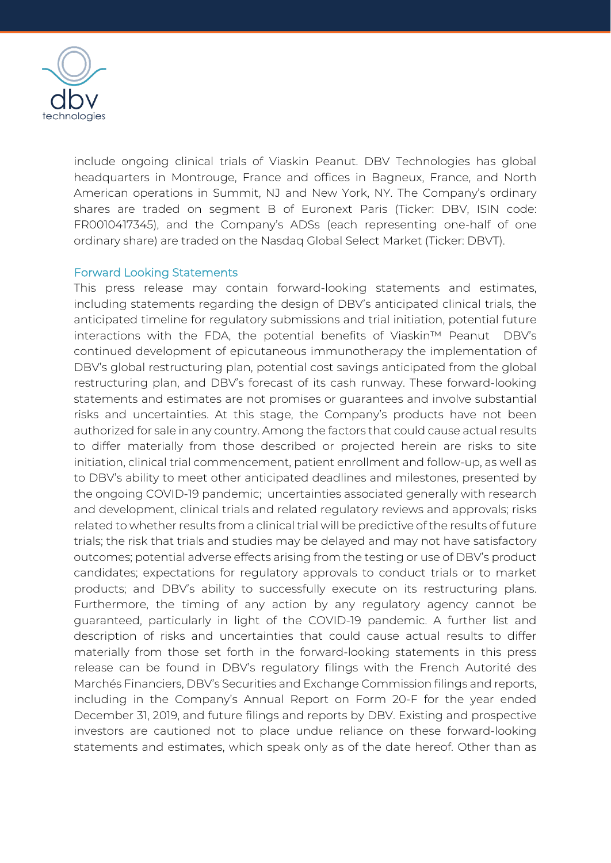

include ongoing clinical trials of Viaskin Peanut. DBV Technologies has global headquarters in Montrouge, France and offices in Bagneux, France, and North American operations in Summit, NJ and New York, NY. The Company's ordinary shares are traded on segment B of Euronext Paris (Ticker: DBV, ISIN code: FR0010417345), and the Company's ADSs (each representing one-half of one ordinary share) are traded on the Nasdaq Global Select Market (Ticker: DBVT).

## Forward Looking Statements

This press release may contain forward-looking statements and estimates, including statements regarding the design of DBV's anticipated clinical trials, the anticipated timeline for regulatory submissions and trial initiation, potential future interactions with the FDA, the potential benefits of Viaskin™ Peanut DBV's continued development of epicutaneous immunotherapy the implementation of DBV's global restructuring plan, potential cost savings anticipated from the global restructuring plan, and DBV's forecast of its cash runway. These forward-looking statements and estimates are not promises or guarantees and involve substantial risks and uncertainties. At this stage, the Company's products have not been authorized for sale in any country. Among the factors that could cause actual results to differ materially from those described or projected herein are risks to site initiation, clinical trial commencement, patient enrollment and follow-up, as well as to DBV's ability to meet other anticipated deadlines and milestones, presented by the ongoing COVID-19 pandemic; uncertainties associated generally with research and development, clinical trials and related regulatory reviews and approvals; risks related to whether results from a clinical trial will be predictive of the results of future trials; the risk that trials and studies may be delayed and may not have satisfactory outcomes; potential adverse effects arising from the testing or use of DBV's product candidates; expectations for regulatory approvals to conduct trials or to market products; and DBV's ability to successfully execute on its restructuring plans. Furthermore, the timing of any action by any regulatory agency cannot be guaranteed, particularly in light of the COVID-19 pandemic. A further list and description of risks and uncertainties that could cause actual results to differ materially from those set forth in the forward-looking statements in this press release can be found in DBV's regulatory filings with the French Autorité des Marchés Financiers, DBV's Securities and Exchange Commission filings and reports, including in the Company's Annual Report on Form 20-F for the year ended December 31, 2019, and future filings and reports by DBV. Existing and prospective investors are cautioned not to place undue reliance on these forward-looking statements and estimates, which speak only as of the date hereof. Other than as